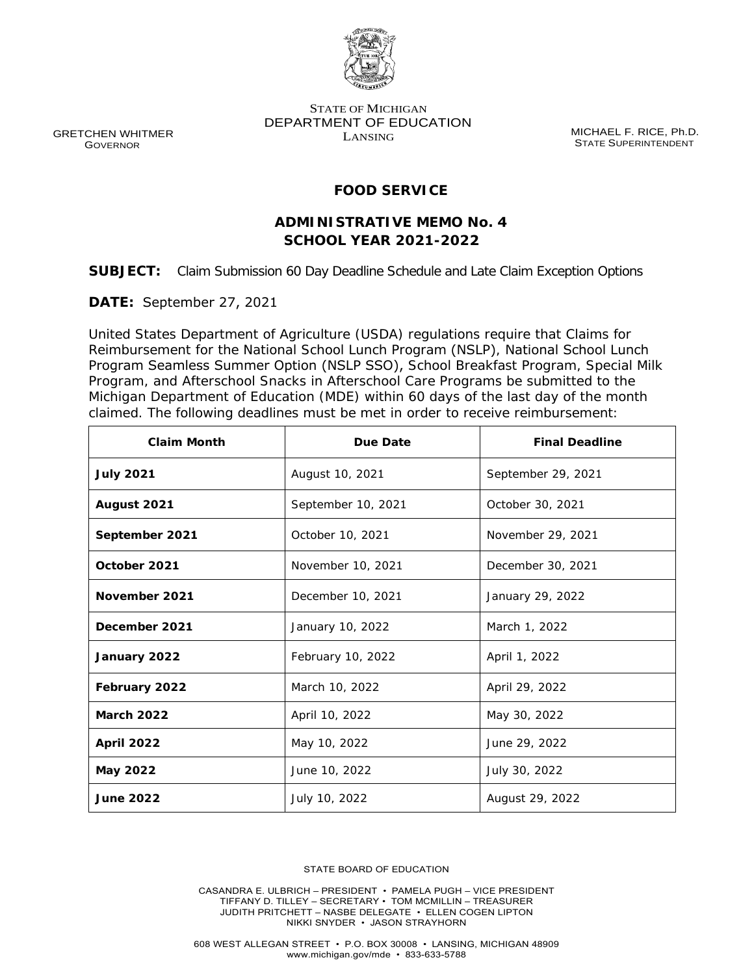

 GRETCHEN WHITMER GOVERNOR

STATE OF MICHIGAN DEPARTMENT OF EDUCATION LANSING

MICHAEL F. RICE, Ph.D. STATE SUPERINTENDENT

## **FOOD SERVICE**

# **ADMINISTRATIVE MEMO No. 4 SCHOOL YEAR 2021-2022**

**SUBJECT:** Claim Submission 60 Day Deadline Schedule and Late Claim Exception Options

**DATE:** September 27, 2021

United States Department of Agriculture (USDA) regulations require that Claims for Reimbursement for the National School Lunch Program (NSLP), National School Lunch Program Seamless Summer Option (NSLP SSO), School Breakfast Program, Special Milk Program, and Afterschool Snacks in Afterschool Care Programs be submitted to the Michigan Department of Education (MDE) within 60 days of the last day of the month claimed. The following deadlines must be met in order to receive reimbursement:

| <b>Claim Month</b> | Due Date           | <b>Final Deadline</b> |
|--------------------|--------------------|-----------------------|
| <b>July 2021</b>   | August 10, 2021    | September 29, 2021    |
| August 2021        | September 10, 2021 | October 30, 2021      |
| September 2021     | October 10, 2021   | November 29, 2021     |
| October 2021       | November 10, 2021  | December 30, 2021     |
| November 2021      | December 10, 2021  | January 29, 2022      |
| December 2021      | January 10, 2022   | March 1, 2022         |
| January 2022       | February 10, 2022  | April 1, 2022         |
| February 2022      | March 10, 2022     | April 29, 2022        |
| <b>March 2022</b>  | April 10, 2022     | May 30, 2022          |
| <b>April 2022</b>  | May 10, 2022       | June 29, 2022         |
| May 2022           | June 10, 2022      | July 30, 2022         |
| <b>June 2022</b>   | July 10, 2022      | August 29, 2022       |

STATE BOARD OF EDUCATION

CASANDRA E. ULBRICH – PRESIDENT • PAMELA PUGH – VICE PRESIDENT TIFFANY D. TILLEY – SECRETARY • TOM MCMILLIN – TREASURER JUDITH PRITCHETT – NASBE DELEGATE • ELLEN COGEN LIPTON NIKKI SNYDER • JASON STRAYHORN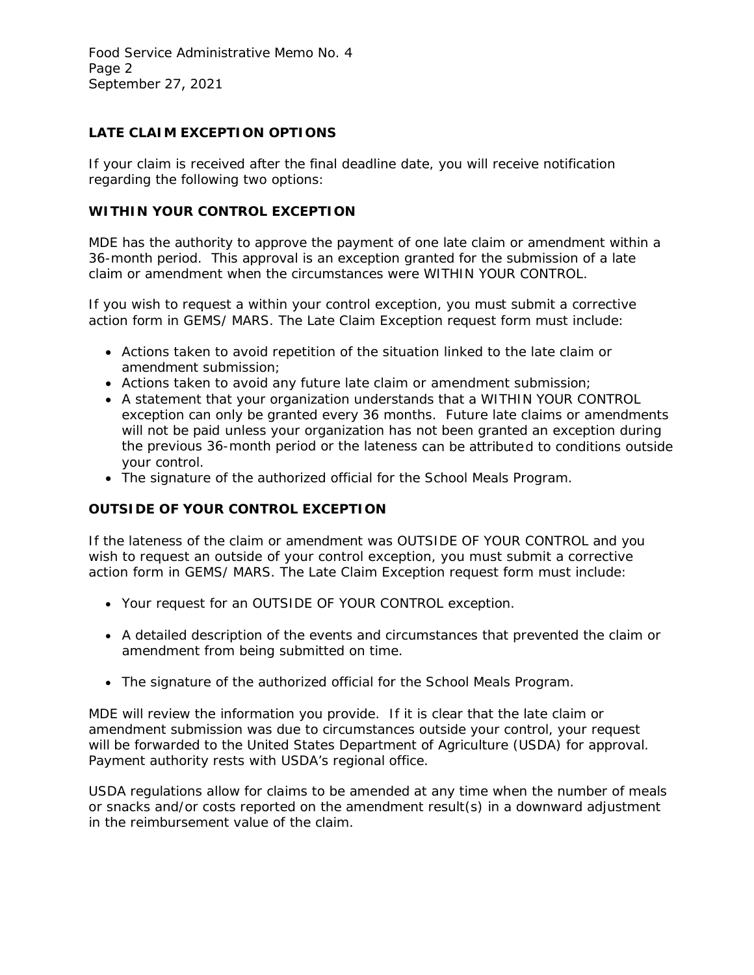Food Service Administrative Memo No. 4 Page 2 September 27, 2021

## **LATE CLAIM EXCEPTION OPTIONS**

If your claim is received after the final deadline date, you will receive notification regarding the following two options:

#### **WITHIN YOUR CONTROL EXCEPTION**

MDE has the authority to approve the payment of *one* late claim or amendment within a 36-month period. This approval is an exception granted for the submission of a late claim or amendment when the circumstances were WITHIN YOUR CONTROL.

If you wish to request a within your control exception, you must submit a corrective action form in GEMS/ MARS. The Late Claim Exception request form must include:

- Actions taken to avoid repetition of the situation linked to the late claim or amendment submission;
- Actions taken to avoid any future late claim or amendment submission;
- A statement that your organization understands that a WITHIN YOUR CONTROL exception can only be granted every 36 months. Future late claims or amendments will not be paid unless your organization has not been granted an exception during the previous 36-month period or the lateness can be attributed to conditions outside your control.
- The signature of the authorized official for the School Meals Program.

#### **OUTSIDE OF YOUR CONTROL EXCEPTION**

If the lateness of the claim or amendment was OUTSIDE OF YOUR CONTROL and you wish to request an outside of your control exception, you must submit a corrective action form in GEMS/ MARS. The Late Claim Exception request form must include:

- Your request for an OUTSIDE OF YOUR CONTROL exception.
- A detailed description of the events and circumstances that prevented the claim or amendment from being submitted on time.
- The signature of the authorized official for the School Meals Program.

MDE will review the information you provide. If it is clear that the late claim or amendment submission was due to circumstances outside your control, your request will be forwarded to the United States Department of Agriculture (USDA) for approval. Payment authority rests with USDA's regional office.

USDA regulations allow for claims to be amended at any time when the number of meals or snacks and/or costs reported on the amendment result(s) in a downward adjustment in the reimbursement value of the claim.